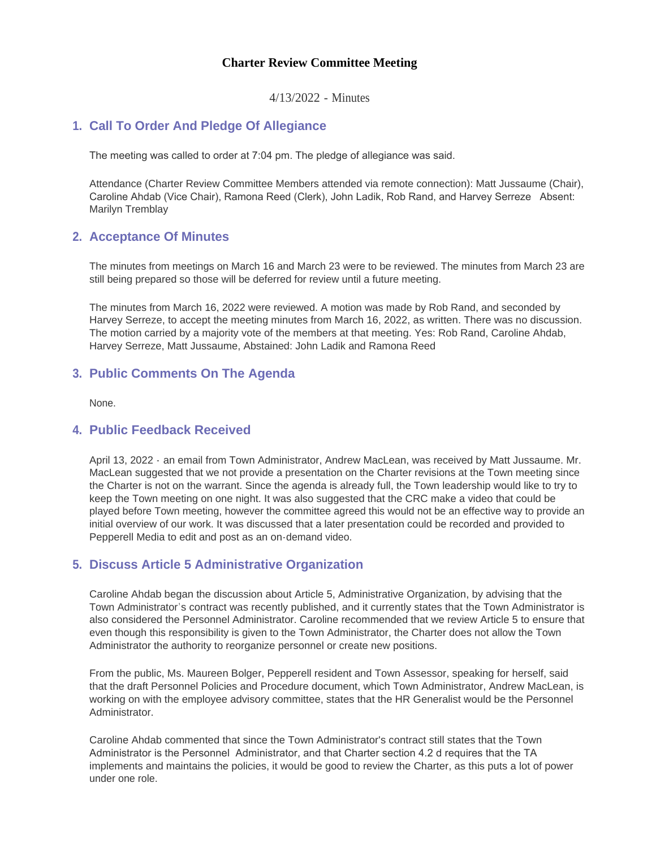### **Charter Review Committee Meeting**

4/13/2022 - Minutes

# **Call To Order And Pledge Of Allegiance 1.**

The meeting was called to order at 7:04 pm. The pledge of allegiance was said.

Attendance (Charter Review Committee Members attended via remote connection): Matt Jussaume (Chair), Caroline Ahdab (Vice Chair), Ramona Reed (Clerk), John Ladik, Rob Rand, and Harvey Serreze Absent: Marilyn Tremblay

### **Acceptance Of Minutes 2.**

The minutes from meetings on March 16 and March 23 were to be reviewed. The minutes from March 23 are still being prepared so those will be deferred for review until a future meeting.

The minutes from March 16, 2022 were reviewed. A motion was made by Rob Rand, and seconded by Harvey Serreze, to accept the meeting minutes from March 16, 2022, as written. There was no discussion. The motion carried by a majority vote of the members at that meeting. Yes: Rob Rand, Caroline Ahdab, Harvey Serreze, Matt Jussaume, Abstained: John Ladik and Ramona Reed

### **Public Comments On The Agenda 3.**

None.

### **Public Feedback Received 4.**

April 13, 2022 - an email from Town Administrator, Andrew MacLean, was received by Matt Jussaume. Mr. MacLean suggested that we not provide a presentation on the Charter revisions at the Town meeting since the Charter is not on the warrant. Since the agenda is already full, the Town leadership would like to try to keep the Town meeting on one night. It was also suggested that the CRC make a video that could be played before Town meeting, however the committee agreed this would not be an effective way to provide an initial overview of our work. It was discussed that a later presentation could be recorded and provided to Pepperell Media to edit and post as an on-demand video.

### **Discuss Article 5 Administrative Organization 5.**

Caroline Ahdab began the discussion about Article 5, Administrative Organization, by advising that the Town Administrator's contract was recently published, and it currently states that the Town Administrator is also considered the Personnel Administrator. Caroline recommended that we review Article 5 to ensure that even though this responsibility is given to the Town Administrator, the Charter does not allow the Town Administrator the authority to reorganize personnel or create new positions.

From the public, Ms. Maureen Bolger, Pepperell resident and Town Assessor, speaking for herself, said that the draft Personnel Policies and Procedure document, which Town Administrator, Andrew MacLean, is working on with the employee advisory committee, states that the HR Generalist would be the Personnel Administrator.

Caroline Ahdab commented that since the Town Administrator's contract still states that the Town Administrator is the Personnel Administrator, and that Charter section 4.2 d requires that the TA implements and maintains the policies, it would be good to review the Charter, as this puts a lot of power under one role.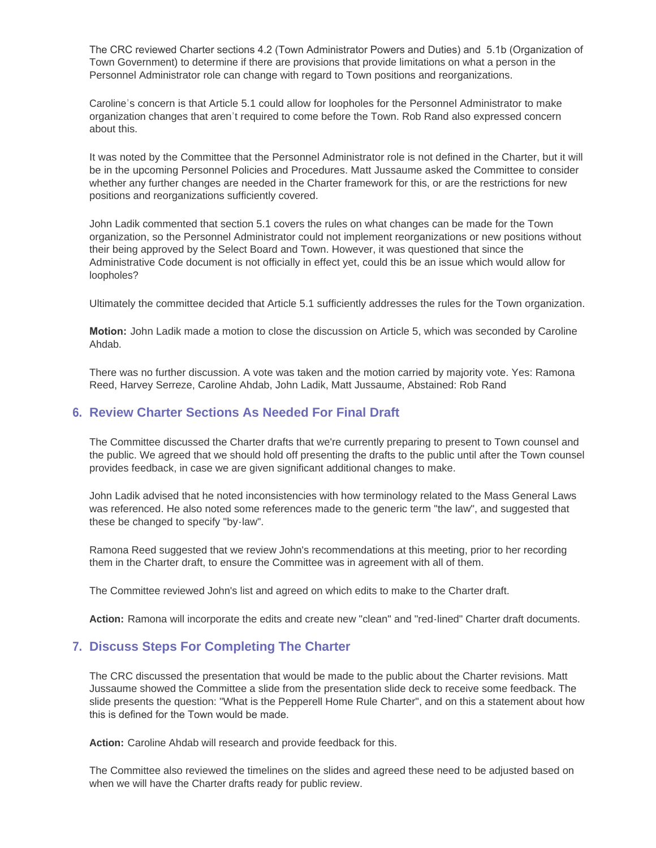The CRC reviewed Charter sections 4.2 (Town Administrator Powers and Duties) and 5.1b (Organization of Town Government) to determine if there are provisions that provide limitations on what a person in the Personnel Administrator role can change with regard to Town positions and reorganizations.

Caroline's concern is that Article 5.1 could allow for loopholes for the Personnel Administrator to make organization changes that aren't required to come before the Town. Rob Rand also expressed concern about this.

It was noted by the Committee that the Personnel Administrator role is not defined in the Charter, but it will be in the upcoming Personnel Policies and Procedures. Matt Jussaume asked the Committee to consider whether any further changes are needed in the Charter framework for this, or are the restrictions for new positions and reorganizations sufficiently covered.

John Ladik commented that section 5.1 covers the rules on what changes can be made for the Town organization, so the Personnel Administrator could not implement reorganizations or new positions without their being approved by the Select Board and Town. However, it was questioned that since the Administrative Code document is not officially in effect yet, could this be an issue which would allow for loopholes?

Ultimately the committee decided that Article 5.1 sufficiently addresses the rules for the Town organization.

**Motion:** John Ladik made a motion to close the discussion on Article 5, which was seconded by Caroline Ahdab.

There was no further discussion. A vote was taken and the motion carried by majority vote. Yes: Ramona Reed, Harvey Serreze, Caroline Ahdab, John Ladik, Matt Jussaume, Abstained: Rob Rand

## **Review Charter Sections As Needed For Final Draft 6.**

The Committee discussed the Charter drafts that we're currently preparing to present to Town counsel and the public. We agreed that we should hold off presenting the drafts to the public until after the Town counsel provides feedback, in case we are given significant additional changes to make.

John Ladik advised that he noted inconsistencies with how terminology related to the Mass General Laws was referenced. He also noted some references made to the generic term "the law", and suggested that these be changed to specify "by-law".

Ramona Reed suggested that we review John's recommendations at this meeting, prior to her recording them in the Charter draft, to ensure the Committee was in agreement with all of them.

The Committee reviewed John's list and agreed on which edits to make to the Charter draft.

**Action:** Ramona will incorporate the edits and create new "clean" and "red-lined" Charter draft documents.

# **Discuss Steps For Completing The Charter 7.**

The CRC discussed the presentation that would be made to the public about the Charter revisions. Matt Jussaume showed the Committee a slide from the presentation slide deck to receive some feedback. The slide presents the question: "What is the Pepperell Home Rule Charter", and on this a statement about how this is defined for the Town would be made.

**Action:** Caroline Ahdab will research and provide feedback for this.

The Committee also reviewed the timelines on the slides and agreed these need to be adjusted based on when we will have the Charter drafts ready for public review.